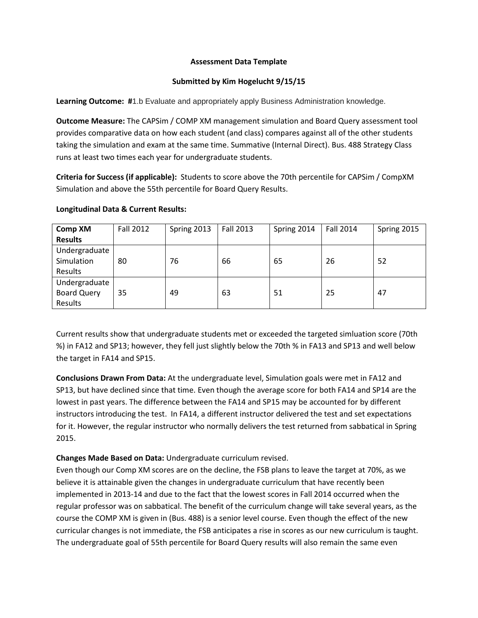## **Assessment Data Template**

## **Submitted by Kim Hogelucht 9/15/15**

**Learning Outcome: #1.b Evaluate and appropriately apply Business Administration knowledge.** 

**Outcome Measure:** The CAPSim / COMP XM management simulation and Board Query assessment tool provides comparative data on how each student (and class) compares against all of the other students taking the simulation and exam at the same time. Summative (Internal Direct). Bus. 488 Strategy Class runs at least two times each year for undergraduate students.

**Criteria for Success (if applicable):** Students to score above the 70th percentile for CAPSim / CompXM Simulation and above the 55th percentile for Board Query Results.

| <b>Comp XM</b><br><b>Results</b>               | <b>Fall 2012</b> | Spring 2013 | Fall 2013 | Spring 2014 | <b>Fall 2014</b> | Spring 2015 |
|------------------------------------------------|------------------|-------------|-----------|-------------|------------------|-------------|
| Undergraduate<br>Simulation<br>Results         | 80               | 76          | 66        | 65          | 26               | 52          |
| Undergraduate<br><b>Board Query</b><br>Results | 35               | 49          | 63        | 51          | 25               | 47          |

## **Longitudinal Data & Current Results:**

Current results show that undergraduate students met or exceeded the targeted simluation score (70th %) in FA12 and SP13; however, they fell just slightly below the 70th % in FA13 and SP13 and well below the target in FA14 and SP15.

**Conclusions Drawn From Data:** At the undergraduate level, Simulation goals were met in FA12 and SP13, but have declined since that time. Even though the average score for both FA14 and SP14 are the lowest in past years. The difference between the FA14 and SP15 may be accounted for by different instructors introducing the test. In FA14, a different instructor delivered the test and set expectations for it. However, the regular instructor who normally delivers the test returned from sabbatical in Spring 2015.

## **Changes Made Based on Data:** Undergraduate curriculum revised.

Even though our Comp XM scores are on the decline, the FSB plans to leave the target at 70%, as we believe it is attainable given the changes in undergraduate curriculum that have recently been implemented in 2013-14 and due to the fact that the lowest scores in Fall 2014 occurred when the regular professor was on sabbatical. The benefit of the curriculum change will take several years, as the course the COMP XM is given in (Bus. 488) is a senior level course. Even though the effect of the new curricular changes is not immediate, the FSB anticipates a rise in scores as our new curriculum is taught. The undergraduate goal of 55th percentile for Board Query results will also remain the same even